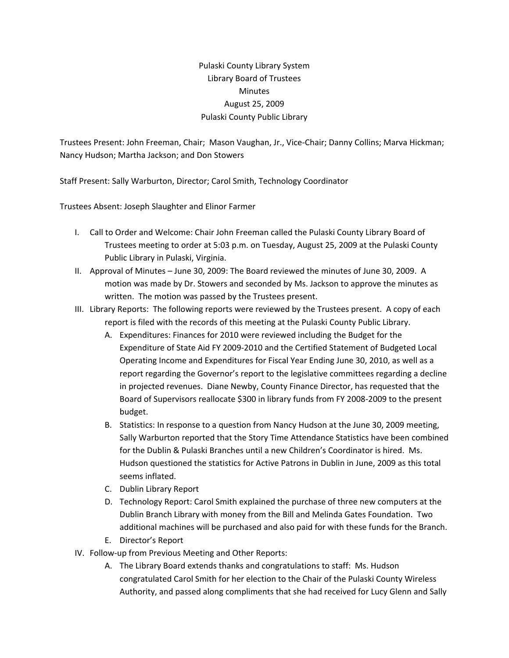## Pulaski County Library System Library Board of Trustees **Minutes** August 25, 2009 Pulaski County Public Library

Trustees Present: John Freeman, Chair; Mason Vaughan, Jr., Vice‐Chair; Danny Collins; Marva Hickman; Nancy Hudson; Martha Jackson; and Don Stowers

Staff Present: Sally Warburton, Director; Carol Smith, Technology Coordinator

Trustees Absent: Joseph Slaughter and Elinor Farmer

- I. Call to Order and Welcome: Chair John Freeman called the Pulaski County Library Board of Trustees meeting to order at 5:03 p.m. on Tuesday, August 25, 2009 at the Pulaski County Public Library in Pulaski, Virginia.
- II. Approval of Minutes June 30, 2009: The Board reviewed the minutes of June 30, 2009. A motion was made by Dr. Stowers and seconded by Ms. Jackson to approve the minutes as written. The motion was passed by the Trustees present.
- III. Library Reports: The following reports were reviewed by the Trustees present. A copy of each report is filed with the records of this meeting at the Pulaski County Public Library.
	- A. Expenditures: Finances for 2010 were reviewed including the Budget for the Expenditure of State Aid FY 2009‐2010 and the Certified Statement of Budgeted Local Operating Income and Expenditures for Fiscal Year Ending June 30, 2010, as well as a report regarding the Governor's report to the legislative committees regarding a decline in projected revenues. Diane Newby, County Finance Director, has requested that the Board of Supervisors reallocate \$300 in library funds from FY 2008‐2009 to the present budget.
	- B. Statistics: In response to a question from Nancy Hudson at the June 30, 2009 meeting, Sally Warburton reported that the Story Time Attendance Statistics have been combined for the Dublin & Pulaski Branches until a new Children's Coordinator is hired. Ms. Hudson questioned the statistics for Active Patrons in Dublin in June, 2009 as this total seems inflated.
	- C. Dublin Library Report
	- D. Technology Report: Carol Smith explained the purchase of three new computers at the Dublin Branch Library with money from the Bill and Melinda Gates Foundation. Two additional machines will be purchased and also paid for with these funds for the Branch.
	- E. Director's Report
- IV. Follow‐up from Previous Meeting and Other Reports:
	- A. The Library Board extends thanks and congratulations to staff: Ms. Hudson congratulated Carol Smith for her election to the Chair of the Pulaski County Wireless Authority, and passed along compliments that she had received for Lucy Glenn and Sally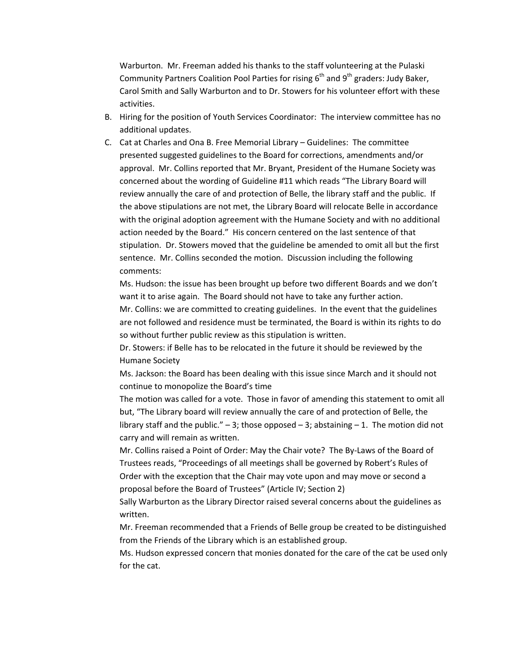Warburton. Mr. Freeman added his thanks to the staff volunteering at the Pulaski Community Partners Coalition Pool Parties for rising  $6<sup>th</sup>$  and  $9<sup>th</sup>$  graders: Judy Baker, Carol Smith and Sally Warburton and to Dr. Stowers for his volunteer effort with these activities.

- B. Hiring for the position of Youth Services Coordinator: The interview committee has no additional updates.
- C. Cat at Charles and Ona B. Free Memorial Library Guidelines: The committee presented suggested guidelines to the Board for corrections, amendments and/or approval. Mr. Collins reported that Mr. Bryant, President of the Humane Society was concerned about the wording of Guideline #11 which reads "The Library Board will review annually the care of and protection of Belle, the library staff and the public. If the above stipulations are not met, the Library Board will relocate Belle in accordance with the original adoption agreement with the Humane Society and with no additional action needed by the Board." His concern centered on the last sentence of that stipulation. Dr. Stowers moved that the guideline be amended to omit all but the first sentence. Mr. Collins seconded the motion. Discussion including the following comments:

Ms. Hudson: the issue has been brought up before two different Boards and we don't want it to arise again. The Board should not have to take any further action.

Mr. Collins: we are committed to creating guidelines. In the event that the guidelines are not followed and residence must be terminated, the Board is within its rights to do so without further public review as this stipulation is written.

Dr. Stowers: if Belle has to be relocated in the future it should be reviewed by the Humane Society

Ms. Jackson: the Board has been dealing with this issue since March and it should not continue to monopolize the Board's time

The motion was called for a vote. Those in favor of amending this statement to omit all but, "The Library board will review annually the care of and protection of Belle, the library staff and the public."  $-3$ ; those opposed  $-3$ ; abstaining  $-1$ . The motion did not carry and will remain as written.

Mr. Collins raised a Point of Order: May the Chair vote? The By‐Laws of the Board of Trustees reads, "Proceedings of all meetings shall be governed by Robert's Rules of Order with the exception that the Chair may vote upon and may move or second a proposal before the Board of Trustees" (Article IV; Section 2)

Sally Warburton as the Library Director raised several concerns about the guidelines as written.

Mr. Freeman recommended that a Friends of Belle group be created to be distinguished from the Friends of the Library which is an established group.

Ms. Hudson expressed concern that monies donated for the care of the cat be used only for the cat.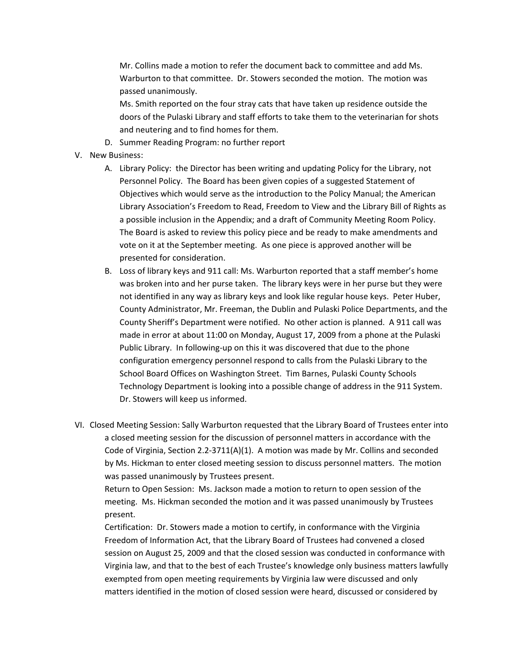Mr. Collins made a motion to refer the document back to committee and add Ms. Warburton to that committee. Dr. Stowers seconded the motion. The motion was passed unanimously.

Ms. Smith reported on the four stray cats that have taken up residence outside the doors of the Pulaski Library and staff efforts to take them to the veterinarian for shots and neutering and to find homes for them.

- D. Summer Reading Program: no further report
- V. New Business:
	- A. Library Policy: the Director has been writing and updating Policy for the Library, not Personnel Policy. The Board has been given copies of a suggested Statement of Objectives which would serve as the introduction to the Policy Manual; the American Library Association's Freedom to Read, Freedom to View and the Library Bill of Rights as a possible inclusion in the Appendix; and a draft of Community Meeting Room Policy. The Board is asked to review this policy piece and be ready to make amendments and vote on it at the September meeting. As one piece is approved another will be presented for consideration.
	- B. Loss of library keys and 911 call: Ms. Warburton reported that a staff member's home was broken into and her purse taken. The library keys were in her purse but they were not identified in any way as library keys and look like regular house keys. Peter Huber, County Administrator, Mr. Freeman, the Dublin and Pulaski Police Departments, and the County Sheriff's Department were notified. No other action is planned. A 911 call was made in error at about 11:00 on Monday, August 17, 2009 from a phone at the Pulaski Public Library. In following‐up on this it was discovered that due to the phone configuration emergency personnel respond to calls from the Pulaski Library to the School Board Offices on Washington Street. Tim Barnes, Pulaski County Schools Technology Department is looking into a possible change of address in the 911 System. Dr. Stowers will keep us informed.
- VI. Closed Meeting Session: Sally Warburton requested that the Library Board of Trustees enter into a closed meeting session for the discussion of personnel matters in accordance with the Code of Virginia, Section 2.2‐3711(A)(1). A motion was made by Mr. Collins and seconded by Ms. Hickman to enter closed meeting session to discuss personnel matters. The motion was passed unanimously by Trustees present.

Return to Open Session: Ms. Jackson made a motion to return to open session of the meeting. Ms. Hickman seconded the motion and it was passed unanimously by Trustees present.

Certification: Dr. Stowers made a motion to certify, in conformance with the Virginia Freedom of Information Act, that the Library Board of Trustees had convened a closed session on August 25, 2009 and that the closed session was conducted in conformance with Virginia law, and that to the best of each Trustee's knowledge only business matters lawfully exempted from open meeting requirements by Virginia law were discussed and only matters identified in the motion of closed session were heard, discussed or considered by